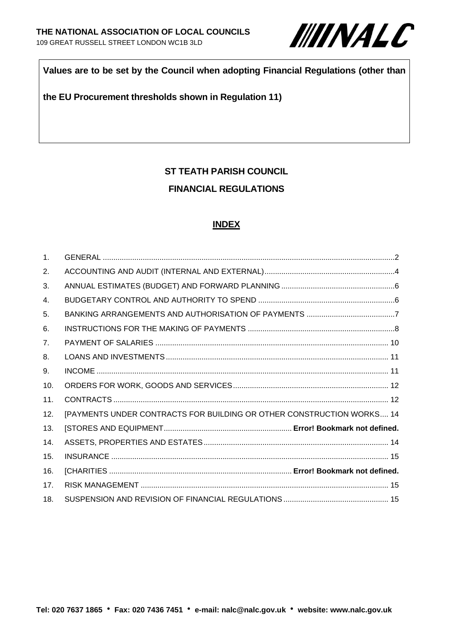

### **Values are to be set by the Council when adopting Financial Regulations (other than**

#### **the EU Procurement thresholds shown in Regulation 11)**

# **ST TEATH PARISH COUNCIL FINANCIAL REGULATIONS**

#### **INDEX**

| $\mathbf{1}$ . |                                                                       |  |
|----------------|-----------------------------------------------------------------------|--|
| 2.             |                                                                       |  |
| 3.             |                                                                       |  |
| 4.             |                                                                       |  |
| 5.             |                                                                       |  |
| 6.             |                                                                       |  |
| 7 <sub>1</sub> |                                                                       |  |
| 8.             |                                                                       |  |
| 9.             |                                                                       |  |
| 10.            |                                                                       |  |
| 11.            |                                                                       |  |
| 12.            | [PAYMENTS UNDER CONTRACTS FOR BUILDING OR OTHER CONSTRUCTION WORKS 14 |  |
| 13.            |                                                                       |  |
| 14.            |                                                                       |  |
| 15.            |                                                                       |  |
| 16.            |                                                                       |  |
| 17.            |                                                                       |  |
| 18.            |                                                                       |  |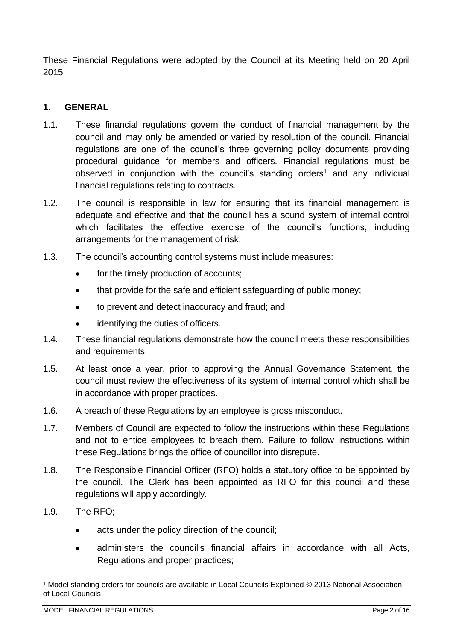These Financial Regulations were adopted by the Council at its Meeting held on 20 April 2015

### <span id="page-1-0"></span>**1. GENERAL**

- 1.1. These financial regulations govern the conduct of financial management by the council and may only be amended or varied by resolution of the council. Financial regulations are one of the council's three governing policy documents providing procedural guidance for members and officers. Financial regulations must be observed in conjunction with the council's standing orders<sup>1</sup> and any individual financial regulations relating to contracts.
- 1.2. The council is responsible in law for ensuring that its financial management is adequate and effective and that the council has a sound system of internal control which facilitates the effective exercise of the council's functions, including arrangements for the management of risk.
- 1.3. The council's accounting control systems must include measures:
	- for the timely production of accounts;
	- that provide for the safe and efficient safeguarding of public money;
	- to prevent and detect inaccuracy and fraud; and
	- identifying the duties of officers.
- 1.4. These financial regulations demonstrate how the council meets these responsibilities and requirements.
- 1.5. At least once a year, prior to approving the Annual Governance Statement, the council must review the effectiveness of its system of internal control which shall be in accordance with proper practices.
- 1.6. A breach of these Regulations by an employee is gross misconduct.
- 1.7. Members of Council are expected to follow the instructions within these Regulations and not to entice employees to breach them. Failure to follow instructions within these Regulations brings the office of councillor into disrepute.
- 1.8. The Responsible Financial Officer (RFO) holds a statutory office to be appointed by the council. The Clerk has been appointed as RFO for this council and these regulations will apply accordingly.
- 1.9. The RFO;
	- acts under the policy direction of the council;
	- administers the council's financial affairs in accordance with all Acts, Regulations and proper practices;

<sup>1</sup> Model standing orders for councils are available in Local Councils Explained © 2013 National Association of Local Councils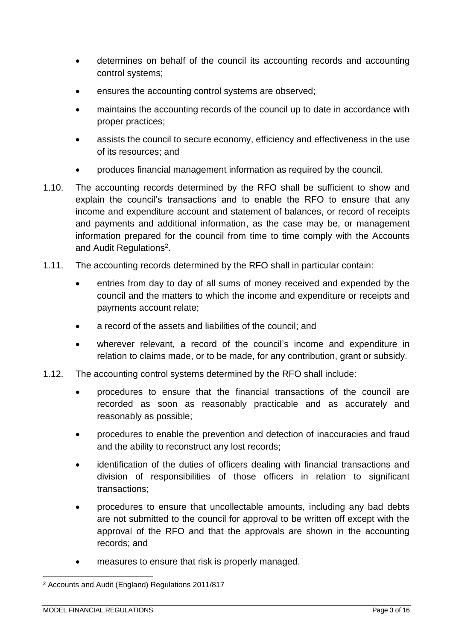- determines on behalf of the council its accounting records and accounting control systems;
- ensures the accounting control systems are observed;
- maintains the accounting records of the council up to date in accordance with proper practices;
- assists the council to secure economy, efficiency and effectiveness in the use of its resources; and
- produces financial management information as required by the council.
- 1.10. The accounting records determined by the RFO shall be sufficient to show and explain the council's transactions and to enable the RFO to ensure that any income and expenditure account and statement of balances, or record of receipts and payments and additional information, as the case may be, or management information prepared for the council from time to time comply with the Accounts and Audit Regulations<sup>2</sup>.
- 1.11. The accounting records determined by the RFO shall in particular contain:
	- entries from day to day of all sums of money received and expended by the council and the matters to which the income and expenditure or receipts and payments account relate;
	- a record of the assets and liabilities of the council; and
	- wherever relevant, a record of the council's income and expenditure in relation to claims made, or to be made, for any contribution, grant or subsidy.
- 1.12. The accounting control systems determined by the RFO shall include:
	- procedures to ensure that the financial transactions of the council are recorded as soon as reasonably practicable and as accurately and reasonably as possible;
	- procedures to enable the prevention and detection of inaccuracies and fraud and the ability to reconstruct any lost records;
	- identification of the duties of officers dealing with financial transactions and division of responsibilities of those officers in relation to significant transactions;
	- procedures to ensure that uncollectable amounts, including any bad debts are not submitted to the council for approval to be written off except with the approval of the RFO and that the approvals are shown in the accounting records; and
	- measures to ensure that risk is properly managed.

<sup>2</sup> Accounts and Audit (England) Regulations 2011/817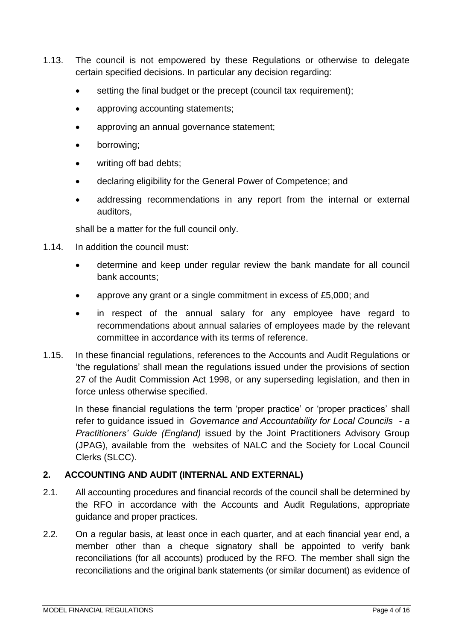- 1.13. The council is not empowered by these Regulations or otherwise to delegate certain specified decisions. In particular any decision regarding:
	- setting the final budget or the precept (council tax requirement);
	- approving accounting statements;
	- approving an annual governance statement;
	- borrowing;
	- writing off bad debts;
	- declaring eligibility for the General Power of Competence; and
	- addressing recommendations in any report from the internal or external auditors,

shall be a matter for the full council only.

- 1.14. In addition the council must:
	- determine and keep under regular review the bank mandate for all council bank accounts;
	- approve any grant or a single commitment in excess of £5,000; and
	- in respect of the annual salary for any employee have regard to recommendations about annual salaries of employees made by the relevant committee in accordance with its terms of reference.
- 1.15. In these financial regulations, references to the Accounts and Audit Regulations or 'the regulations' shall mean the regulations issued under the provisions of section 27 of the Audit Commission Act 1998, or any superseding legislation, and then in force unless otherwise specified.

In these financial regulations the term 'proper practice' or 'proper practices' shall refer to guidance issued in *Governance and Accountability for Local Councils - a Practitioners' Guide (England)* issued by the Joint Practitioners Advisory Group (JPAG), available from the websites of NALC and the Society for Local Council Clerks (SLCC).

## <span id="page-3-0"></span>**2. ACCOUNTING AND AUDIT (INTERNAL AND EXTERNAL)**

- 2.1. All accounting procedures and financial records of the council shall be determined by the RFO in accordance with the Accounts and Audit Regulations, appropriate guidance and proper practices.
- 2.2. On a regular basis, at least once in each quarter, and at each financial year end, a member other than a cheque signatory shall be appointed to verify bank reconciliations (for all accounts) produced by the RFO. The member shall sign the reconciliations and the original bank statements (or similar document) as evidence of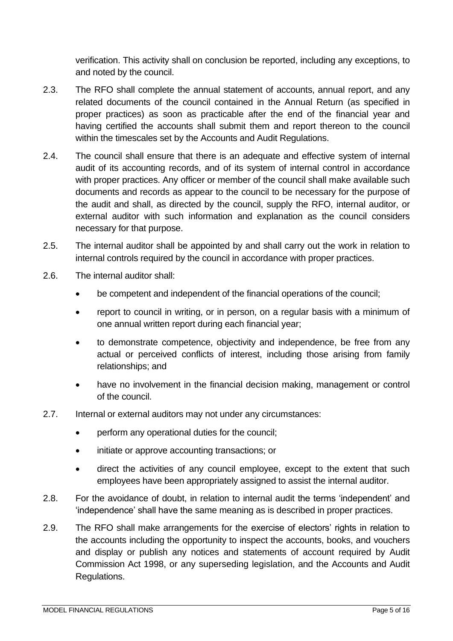verification. This activity shall on conclusion be reported, including any exceptions, to and noted by the council.

- 2.3. The RFO shall complete the annual statement of accounts, annual report, and any related documents of the council contained in the Annual Return (as specified in proper practices) as soon as practicable after the end of the financial year and having certified the accounts shall submit them and report thereon to the council within the timescales set by the Accounts and Audit Regulations.
- 2.4. The council shall ensure that there is an adequate and effective system of internal audit of its accounting records, and of its system of internal control in accordance with proper practices. Any officer or member of the council shall make available such documents and records as appear to the council to be necessary for the purpose of the audit and shall, as directed by the council, supply the RFO, internal auditor, or external auditor with such information and explanation as the council considers necessary for that purpose.
- 2.5. The internal auditor shall be appointed by and shall carry out the work in relation to internal controls required by the council in accordance with proper practices.
- 2.6. The internal auditor shall:
	- be competent and independent of the financial operations of the council;
	- report to council in writing, or in person, on a regular basis with a minimum of one annual written report during each financial year;
	- to demonstrate competence, objectivity and independence, be free from any actual or perceived conflicts of interest, including those arising from family relationships; and
	- have no involvement in the financial decision making, management or control of the council.
- 2.7. Internal or external auditors may not under any circumstances:
	- perform any operational duties for the council;
	- initiate or approve accounting transactions; or
	- direct the activities of any council employee, except to the extent that such employees have been appropriately assigned to assist the internal auditor.
- 2.8. For the avoidance of doubt, in relation to internal audit the terms 'independent' and 'independence' shall have the same meaning as is described in proper practices.
- 2.9. The RFO shall make arrangements for the exercise of electors' rights in relation to the accounts including the opportunity to inspect the accounts, books, and vouchers and display or publish any notices and statements of account required by Audit Commission Act 1998, or any superseding legislation, and the Accounts and Audit Regulations.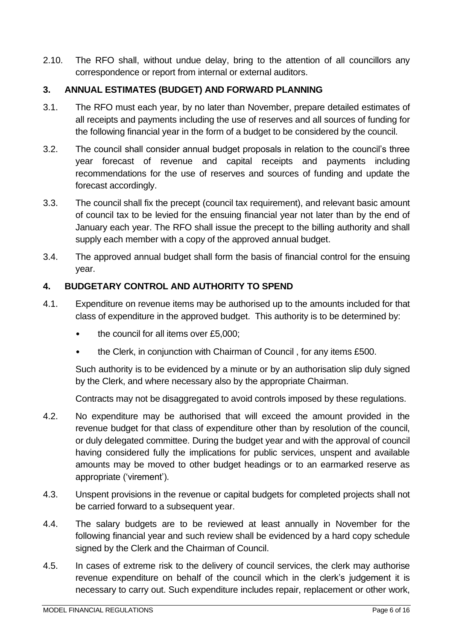2.10. The RFO shall, without undue delay, bring to the attention of all councillors any correspondence or report from internal or external auditors.

### <span id="page-5-0"></span>**3. ANNUAL ESTIMATES (BUDGET) AND FORWARD PLANNING**

- 3.1. The RFO must each year, by no later than November, prepare detailed estimates of all receipts and payments including the use of reserves and all sources of funding for the following financial year in the form of a budget to be considered by the council.
- 3.2. The council shall consider annual budget proposals in relation to the council's three year forecast of revenue and capital receipts and payments including recommendations for the use of reserves and sources of funding and update the forecast accordingly.
- 3.3. The council shall fix the precept (council tax requirement), and relevant basic amount of council tax to be levied for the ensuing financial year not later than by the end of January each year. The RFO shall issue the precept to the billing authority and shall supply each member with a copy of the approved annual budget.
- 3.4. The approved annual budget shall form the basis of financial control for the ensuing year.

### <span id="page-5-1"></span>**4. BUDGETARY CONTROL AND AUTHORITY TO SPEND**

- 4.1. Expenditure on revenue items may be authorised up to the amounts included for that class of expenditure in the approved budget. This authority is to be determined by:
	- the council for all items over £5,000;
	- the Clerk, in conjunction with Chairman of Council , for any items £500.

Such authority is to be evidenced by a minute or by an authorisation slip duly signed by the Clerk, and where necessary also by the appropriate Chairman.

Contracts may not be disaggregated to avoid controls imposed by these regulations.

- 4.2. No expenditure may be authorised that will exceed the amount provided in the revenue budget for that class of expenditure other than by resolution of the council, or duly delegated committee. During the budget year and with the approval of council having considered fully the implications for public services, unspent and available amounts may be moved to other budget headings or to an earmarked reserve as appropriate ('virement').
- 4.3. Unspent provisions in the revenue or capital budgets for completed projects shall not be carried forward to a subsequent year.
- 4.4. The salary budgets are to be reviewed at least annually in November for the following financial year and such review shall be evidenced by a hard copy schedule signed by the Clerk and the Chairman of Council.
- 4.5. In cases of extreme risk to the delivery of council services, the clerk may authorise revenue expenditure on behalf of the council which in the clerk's judgement it is necessary to carry out. Such expenditure includes repair, replacement or other work,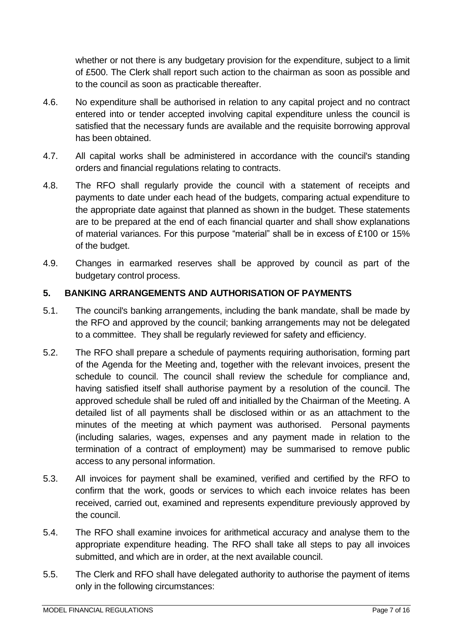whether or not there is any budgetary provision for the expenditure, subject to a limit of £500. The Clerk shall report such action to the chairman as soon as possible and to the council as soon as practicable thereafter.

- 4.6. No expenditure shall be authorised in relation to any capital project and no contract entered into or tender accepted involving capital expenditure unless the council is satisfied that the necessary funds are available and the requisite borrowing approval has been obtained.
- 4.7. All capital works shall be administered in accordance with the council's standing orders and financial regulations relating to contracts.
- 4.8. The RFO shall regularly provide the council with a statement of receipts and payments to date under each head of the budgets, comparing actual expenditure to the appropriate date against that planned as shown in the budget. These statements are to be prepared at the end of each financial quarter and shall show explanations of material variances. For this purpose "material" shall be in excess of £100 or 15% of the budget.
- 4.9. Changes in earmarked reserves shall be approved by council as part of the budgetary control process.

### <span id="page-6-0"></span>**5. BANKING ARRANGEMENTS AND AUTHORISATION OF PAYMENTS**

- 5.1. The council's banking arrangements, including the bank mandate, shall be made by the RFO and approved by the council; banking arrangements may not be delegated to a committee. They shall be regularly reviewed for safety and efficiency.
- 5.2. The RFO shall prepare a schedule of payments requiring authorisation, forming part of the Agenda for the Meeting and, together with the relevant invoices, present the schedule to council. The council shall review the schedule for compliance and, having satisfied itself shall authorise payment by a resolution of the council. The approved schedule shall be ruled off and initialled by the Chairman of the Meeting. A detailed list of all payments shall be disclosed within or as an attachment to the minutes of the meeting at which payment was authorised. Personal payments (including salaries, wages, expenses and any payment made in relation to the termination of a contract of employment) may be summarised to remove public access to any personal information.
- 5.3. All invoices for payment shall be examined, verified and certified by the RFO to confirm that the work, goods or services to which each invoice relates has been received, carried out, examined and represents expenditure previously approved by the council.
- 5.4. The RFO shall examine invoices for arithmetical accuracy and analyse them to the appropriate expenditure heading. The RFO shall take all steps to pay all invoices submitted, and which are in order, at the next available council.
- 5.5. The Clerk and RFO shall have delegated authority to authorise the payment of items only in the following circumstances: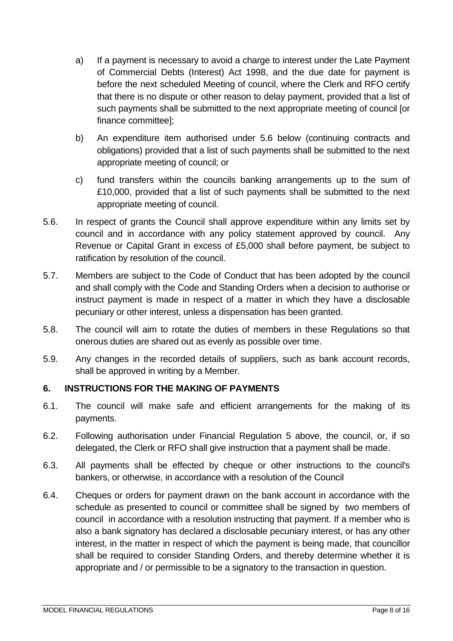- a) If a payment is necessary to avoid a charge to interest under the Late Payment of Commercial Debts (Interest) Act 1998, and the due date for payment is before the next scheduled Meeting of council, where the Clerk and RFO certify that there is no dispute or other reason to delay payment, provided that a list of such payments shall be submitted to the next appropriate meeting of council [or finance committee];
- b) An expenditure item authorised under 5.6 below (continuing contracts and obligations) provided that a list of such payments shall be submitted to the next appropriate meeting of council; or
- c) fund transfers within the councils banking arrangements up to the sum of £10,000, provided that a list of such payments shall be submitted to the next appropriate meeting of council.
- 5.6. In respect of grants the Council shall approve expenditure within any limits set by council and in accordance with any policy statement approved by council. Any Revenue or Capital Grant in excess of £5,000 shall before payment, be subject to ratification by resolution of the council.
- 5.7. Members are subject to the Code of Conduct that has been adopted by the council and shall comply with the Code and Standing Orders when a decision to authorise or instruct payment is made in respect of a matter in which they have a disclosable pecuniary or other interest, unless a dispensation has been granted.
- 5.8. The council will aim to rotate the duties of members in these Regulations so that onerous duties are shared out as evenly as possible over time.
- 5.9. Any changes in the recorded details of suppliers, such as bank account records, shall be approved in writing by a Member.

### <span id="page-7-0"></span>**6. INSTRUCTIONS FOR THE MAKING OF PAYMENTS**

- 6.1. The council will make safe and efficient arrangements for the making of its payments.
- 6.2. Following authorisation under Financial Regulation 5 above, the council, or, if so delegated, the Clerk or RFO shall give instruction that a payment shall be made.
- 6.3. All payments shall be effected by cheque or other instructions to the council's bankers, or otherwise, in accordance with a resolution of the Council
- 6.4. Cheques or orders for payment drawn on the bank account in accordance with the schedule as presented to council or committee shall be signed by two members of council in accordance with a resolution instructing that payment. If a member who is also a bank signatory has declared a disclosable pecuniary interest, or has any other interest, in the matter in respect of which the payment is being made, that councillor shall be required to consider Standing Orders, and thereby determine whether it is appropriate and / or permissible to be a signatory to the transaction in question.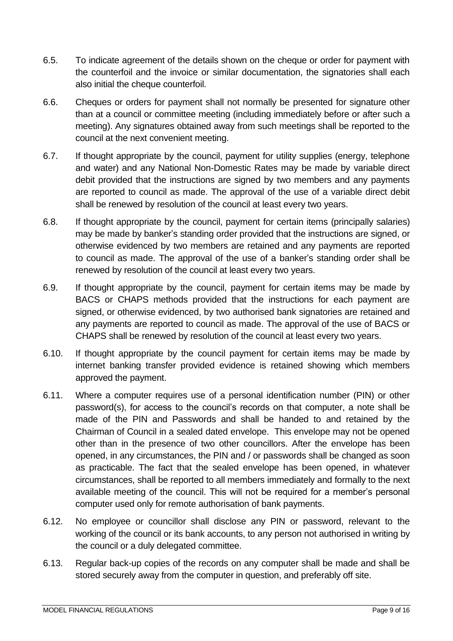- 6.5. To indicate agreement of the details shown on the cheque or order for payment with the counterfoil and the invoice or similar documentation, the signatories shall each also initial the cheque counterfoil.
- 6.6. Cheques or orders for payment shall not normally be presented for signature other than at a council or committee meeting (including immediately before or after such a meeting). Any signatures obtained away from such meetings shall be reported to the council at the next convenient meeting.
- 6.7. If thought appropriate by the council, payment for utility supplies (energy, telephone and water) and any National Non-Domestic Rates may be made by variable direct debit provided that the instructions are signed by two members and any payments are reported to council as made. The approval of the use of a variable direct debit shall be renewed by resolution of the council at least every two years.
- 6.8. If thought appropriate by the council, payment for certain items (principally salaries) may be made by banker's standing order provided that the instructions are signed, or otherwise evidenced by two members are retained and any payments are reported to council as made. The approval of the use of a banker's standing order shall be renewed by resolution of the council at least every two years.
- 6.9. If thought appropriate by the council, payment for certain items may be made by BACS or CHAPS methods provided that the instructions for each payment are signed, or otherwise evidenced, by two authorised bank signatories are retained and any payments are reported to council as made. The approval of the use of BACS or CHAPS shall be renewed by resolution of the council at least every two years.
- 6.10. If thought appropriate by the council payment for certain items may be made by internet banking transfer provided evidence is retained showing which members approved the payment.
- 6.11. Where a computer requires use of a personal identification number (PIN) or other password(s), for access to the council's records on that computer, a note shall be made of the PIN and Passwords and shall be handed to and retained by the Chairman of Council in a sealed dated envelope. This envelope may not be opened other than in the presence of two other councillors. After the envelope has been opened, in any circumstances, the PIN and / or passwords shall be changed as soon as practicable. The fact that the sealed envelope has been opened, in whatever circumstances, shall be reported to all members immediately and formally to the next available meeting of the council. This will not be required for a member's personal computer used only for remote authorisation of bank payments.
- 6.12. No employee or councillor shall disclose any PIN or password, relevant to the working of the council or its bank accounts, to any person not authorised in writing by the council or a duly delegated committee.
- 6.13. Regular back-up copies of the records on any computer shall be made and shall be stored securely away from the computer in question, and preferably off site.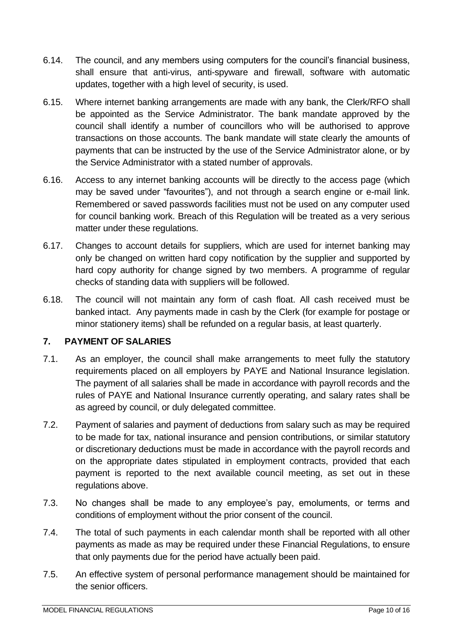- 6.14. The council, and any members using computers for the council's financial business, shall ensure that anti-virus, anti-spyware and firewall, software with automatic updates, together with a high level of security, is used.
- 6.15. Where internet banking arrangements are made with any bank, the Clerk/RFO shall be appointed as the Service Administrator. The bank mandate approved by the council shall identify a number of councillors who will be authorised to approve transactions on those accounts. The bank mandate will state clearly the amounts of payments that can be instructed by the use of the Service Administrator alone, or by the Service Administrator with a stated number of approvals.
- 6.16. Access to any internet banking accounts will be directly to the access page (which may be saved under "favourites"), and not through a search engine or e-mail link. Remembered or saved passwords facilities must not be used on any computer used for council banking work. Breach of this Regulation will be treated as a very serious matter under these regulations.
- 6.17. Changes to account details for suppliers, which are used for internet banking may only be changed on written hard copy notification by the supplier and supported by hard copy authority for change signed by two members. A programme of regular checks of standing data with suppliers will be followed.
- 6.18. The council will not maintain any form of cash float. All cash received must be banked intact. Any payments made in cash by the Clerk (for example for postage or minor stationery items) shall be refunded on a regular basis, at least quarterly.

## <span id="page-9-0"></span>**7. PAYMENT OF SALARIES**

- 7.1. As an employer, the council shall make arrangements to meet fully the statutory requirements placed on all employers by PAYE and National Insurance legislation. The payment of all salaries shall be made in accordance with payroll records and the rules of PAYE and National Insurance currently operating, and salary rates shall be as agreed by council, or duly delegated committee.
- 7.2. Payment of salaries and payment of deductions from salary such as may be required to be made for tax, national insurance and pension contributions, or similar statutory or discretionary deductions must be made in accordance with the payroll records and on the appropriate dates stipulated in employment contracts, provided that each payment is reported to the next available council meeting, as set out in these regulations above.
- 7.3. No changes shall be made to any employee's pay, emoluments, or terms and conditions of employment without the prior consent of the council.
- 7.4. The total of such payments in each calendar month shall be reported with all other payments as made as may be required under these Financial Regulations, to ensure that only payments due for the period have actually been paid.
- 7.5. An effective system of personal performance management should be maintained for the senior officers.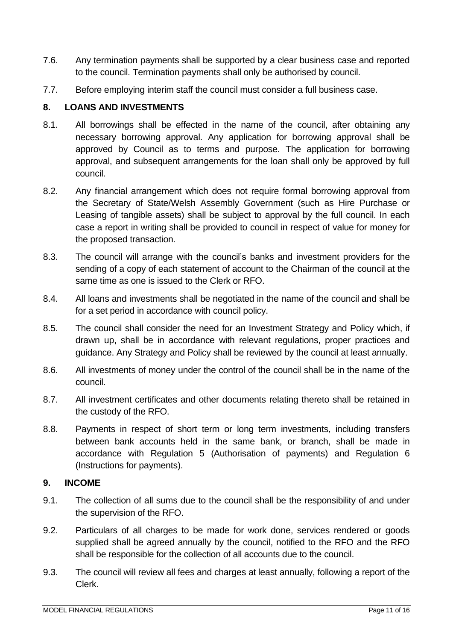- 7.6. Any termination payments shall be supported by a clear business case and reported to the council. Termination payments shall only be authorised by council.
- 7.7. Before employing interim staff the council must consider a full business case.

#### <span id="page-10-0"></span>**8. LOANS AND INVESTMENTS**

- 8.1. All borrowings shall be effected in the name of the council, after obtaining any necessary borrowing approval. Any application for borrowing approval shall be approved by Council as to terms and purpose. The application for borrowing approval, and subsequent arrangements for the loan shall only be approved by full council.
- 8.2. Any financial arrangement which does not require formal borrowing approval from the Secretary of State/Welsh Assembly Government (such as Hire Purchase or Leasing of tangible assets) shall be subject to approval by the full council. In each case a report in writing shall be provided to council in respect of value for money for the proposed transaction.
- 8.3. The council will arrange with the council's banks and investment providers for the sending of a copy of each statement of account to the Chairman of the council at the same time as one is issued to the Clerk or RFO.
- 8.4. All loans and investments shall be negotiated in the name of the council and shall be for a set period in accordance with council policy.
- 8.5. The council shall consider the need for an Investment Strategy and Policy which, if drawn up, shall be in accordance with relevant regulations, proper practices and guidance. Any Strategy and Policy shall be reviewed by the council at least annually.
- 8.6. All investments of money under the control of the council shall be in the name of the council.
- 8.7. All investment certificates and other documents relating thereto shall be retained in the custody of the RFO.
- 8.8. Payments in respect of short term or long term investments, including transfers between bank accounts held in the same bank, or branch, shall be made in accordance with Regulation 5 (Authorisation of payments) and Regulation 6 (Instructions for payments).

#### <span id="page-10-1"></span>**9. INCOME**

- 9.1. The collection of all sums due to the council shall be the responsibility of and under the supervision of the RFO.
- 9.2. Particulars of all charges to be made for work done, services rendered or goods supplied shall be agreed annually by the council, notified to the RFO and the RFO shall be responsible for the collection of all accounts due to the council.
- 9.3. The council will review all fees and charges at least annually, following a report of the Clerk.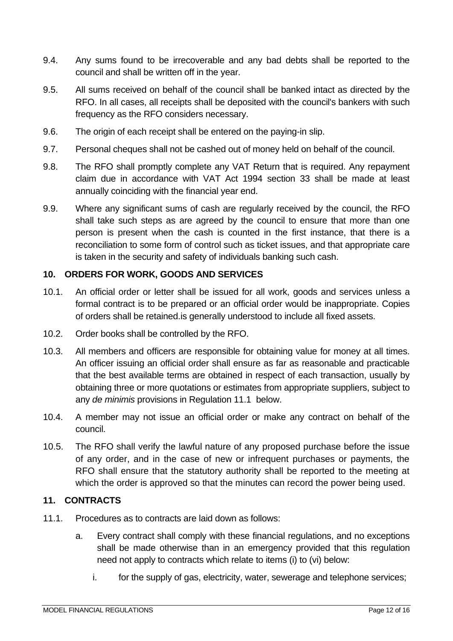- 9.4. Any sums found to be irrecoverable and any bad debts shall be reported to the council and shall be written off in the year.
- 9.5. All sums received on behalf of the council shall be banked intact as directed by the RFO. In all cases, all receipts shall be deposited with the council's bankers with such frequency as the RFO considers necessary.
- 9.6. The origin of each receipt shall be entered on the paying-in slip.
- 9.7. Personal cheques shall not be cashed out of money held on behalf of the council.
- 9.8. The RFO shall promptly complete any VAT Return that is required. Any repayment claim due in accordance with VAT Act 1994 section 33 shall be made at least annually coinciding with the financial year end.
- 9.9. Where any significant sums of cash are regularly received by the council, the RFO shall take such steps as are agreed by the council to ensure that more than one person is present when the cash is counted in the first instance, that there is a reconciliation to some form of control such as ticket issues, and that appropriate care is taken in the security and safety of individuals banking such cash.

#### <span id="page-11-0"></span>**10. ORDERS FOR WORK, GOODS AND SERVICES**

- 10.1. An official order or letter shall be issued for all work, goods and services unless a formal contract is to be prepared or an official order would be inappropriate. Copies of orders shall be retained.is generally understood to include all fixed assets.
- 10.2. Order books shall be controlled by the RFO.
- 10.3. All members and officers are responsible for obtaining value for money at all times. An officer issuing an official order shall ensure as far as reasonable and practicable that the best available terms are obtained in respect of each transaction, usually by obtaining three or more quotations or estimates from appropriate suppliers, subject to any *de minimis* provisions in Regulation 11.1 below.
- 10.4. A member may not issue an official order or make any contract on behalf of the council.
- 10.5. The RFO shall verify the lawful nature of any proposed purchase before the issue of any order, and in the case of new or infrequent purchases or payments, the RFO shall ensure that the statutory authority shall be reported to the meeting at which the order is approved so that the minutes can record the power being used.

### <span id="page-11-1"></span>**11. CONTRACTS**

- 11.1. Procedures as to contracts are laid down as follows:
	- a. Every contract shall comply with these financial regulations, and no exceptions shall be made otherwise than in an emergency provided that this regulation need not apply to contracts which relate to items (i) to (vi) below:
		- i. for the supply of gas, electricity, water, sewerage and telephone services;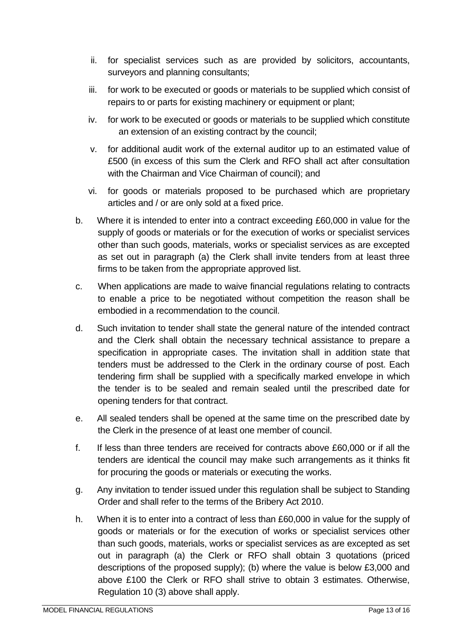- ii. for specialist services such as are provided by solicitors, accountants, surveyors and planning consultants;
- iii. for work to be executed or goods or materials to be supplied which consist of repairs to or parts for existing machinery or equipment or plant;
- iv. for work to be executed or goods or materials to be supplied which constitute an extension of an existing contract by the council;
- v. for additional audit work of the external auditor up to an estimated value of £500 (in excess of this sum the Clerk and RFO shall act after consultation with the Chairman and Vice Chairman of council); and
- vi. for goods or materials proposed to be purchased which are proprietary articles and / or are only sold at a fixed price.
- b. Where it is intended to enter into a contract exceeding £60,000 in value for the supply of goods or materials or for the execution of works or specialist services other than such goods, materials, works or specialist services as are excepted as set out in paragraph (a) the Clerk shall invite tenders from at least three firms to be taken from the appropriate approved list.
- c. When applications are made to waive financial regulations relating to contracts to enable a price to be negotiated without competition the reason shall be embodied in a recommendation to the council.
- d. Such invitation to tender shall state the general nature of the intended contract and the Clerk shall obtain the necessary technical assistance to prepare a specification in appropriate cases. The invitation shall in addition state that tenders must be addressed to the Clerk in the ordinary course of post. Each tendering firm shall be supplied with a specifically marked envelope in which the tender is to be sealed and remain sealed until the prescribed date for opening tenders for that contract.
- e. All sealed tenders shall be opened at the same time on the prescribed date by the Clerk in the presence of at least one member of council.
- f. If less than three tenders are received for contracts above £60,000 or if all the tenders are identical the council may make such arrangements as it thinks fit for procuring the goods or materials or executing the works.
- g. Any invitation to tender issued under this regulation shall be subject to Standing Order and shall refer to the terms of the Bribery Act 2010.
- h. When it is to enter into a contract of less than £60,000 in value for the supply of goods or materials or for the execution of works or specialist services other than such goods, materials, works or specialist services as are excepted as set out in paragraph (a) the Clerk or RFO shall obtain 3 quotations (priced descriptions of the proposed supply); (b) where the value is below £3,000 and above £100 the Clerk or RFO shall strive to obtain 3 estimates. Otherwise, Regulation 10 (3) above shall apply.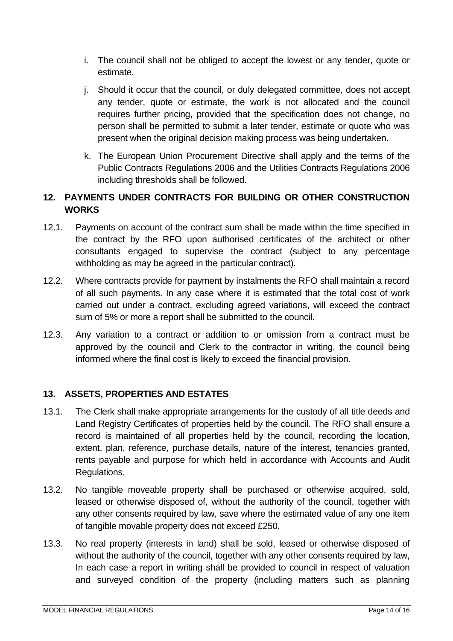- i. The council shall not be obliged to accept the lowest or any tender, quote or estimate.
- j. Should it occur that the council, or duly delegated committee, does not accept any tender, quote or estimate, the work is not allocated and the council requires further pricing, provided that the specification does not change, no person shall be permitted to submit a later tender, estimate or quote who was present when the original decision making process was being undertaken.
- k. The European Union Procurement Directive shall apply and the terms of the Public Contracts Regulations 2006 and the Utilities Contracts Regulations 2006 including thresholds shall be followed.

## <span id="page-13-0"></span>**12. PAYMENTS UNDER CONTRACTS FOR BUILDING OR OTHER CONSTRUCTION WORKS**

- 12.1. Payments on account of the contract sum shall be made within the time specified in the contract by the RFO upon authorised certificates of the architect or other consultants engaged to supervise the contract (subject to any percentage withholding as may be agreed in the particular contract).
- 12.2. Where contracts provide for payment by instalments the RFO shall maintain a record of all such payments. In any case where it is estimated that the total cost of work carried out under a contract, excluding agreed variations, will exceed the contract sum of 5% or more a report shall be submitted to the council.
- 12.3. Any variation to a contract or addition to or omission from a contract must be approved by the council and Clerk to the contractor in writing, the council being informed where the final cost is likely to exceed the financial provision.

## <span id="page-13-1"></span>**13. ASSETS, PROPERTIES AND ESTATES**

- 13.1. The Clerk shall make appropriate arrangements for the custody of all title deeds and Land Registry Certificates of properties held by the council. The RFO shall ensure a record is maintained of all properties held by the council, recording the location, extent, plan, reference, purchase details, nature of the interest, tenancies granted, rents payable and purpose for which held in accordance with Accounts and Audit Regulations.
- 13.2. No tangible moveable property shall be purchased or otherwise acquired, sold, leased or otherwise disposed of, without the authority of the council, together with any other consents required by law, save where the estimated value of any one item of tangible movable property does not exceed £250.
- 13.3. No real property (interests in land) shall be sold, leased or otherwise disposed of without the authority of the council, together with any other consents required by law, In each case a report in writing shall be provided to council in respect of valuation and surveyed condition of the property (including matters such as planning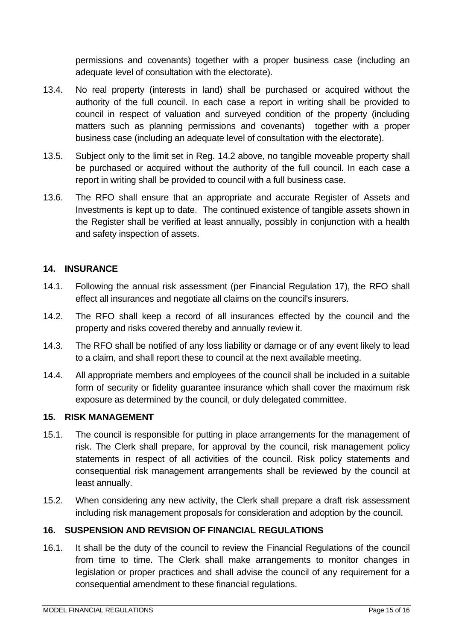permissions and covenants) together with a proper business case (including an adequate level of consultation with the electorate).

- 13.4. No real property (interests in land) shall be purchased or acquired without the authority of the full council. In each case a report in writing shall be provided to council in respect of valuation and surveyed condition of the property (including matters such as planning permissions and covenants) together with a proper business case (including an adequate level of consultation with the electorate).
- 13.5. Subject only to the limit set in Reg. 14.2 above, no tangible moveable property shall be purchased or acquired without the authority of the full council. In each case a report in writing shall be provided to council with a full business case.
- 13.6. The RFO shall ensure that an appropriate and accurate Register of Assets and Investments is kept up to date. The continued existence of tangible assets shown in the Register shall be verified at least annually, possibly in conjunction with a health and safety inspection of assets.

### <span id="page-14-0"></span>**14. INSURANCE**

- 14.1. Following the annual risk assessment (per Financial Regulation 17), the RFO shall effect all insurances and negotiate all claims on the council's insurers.
- 14.2. The RFO shall keep a record of all insurances effected by the council and the property and risks covered thereby and annually review it.
- 14.3. The RFO shall be notified of any loss liability or damage or of any event likely to lead to a claim, and shall report these to council at the next available meeting.
- 14.4. All appropriate members and employees of the council shall be included in a suitable form of security or fidelity guarantee insurance which shall cover the maximum risk exposure as determined by the council, or duly delegated committee.

#### <span id="page-14-1"></span>**15. RISK MANAGEMENT**

- 15.1. The council is responsible for putting in place arrangements for the management of risk. The Clerk shall prepare, for approval by the council, risk management policy statements in respect of all activities of the council. Risk policy statements and consequential risk management arrangements shall be reviewed by the council at least annually.
- 15.2. When considering any new activity, the Clerk shall prepare a draft risk assessment including risk management proposals for consideration and adoption by the council.

### <span id="page-14-2"></span>**16. SUSPENSION AND REVISION OF FINANCIAL REGULATIONS**

16.1. It shall be the duty of the council to review the Financial Regulations of the council from time to time. The Clerk shall make arrangements to monitor changes in legislation or proper practices and shall advise the council of any requirement for a consequential amendment to these financial regulations.